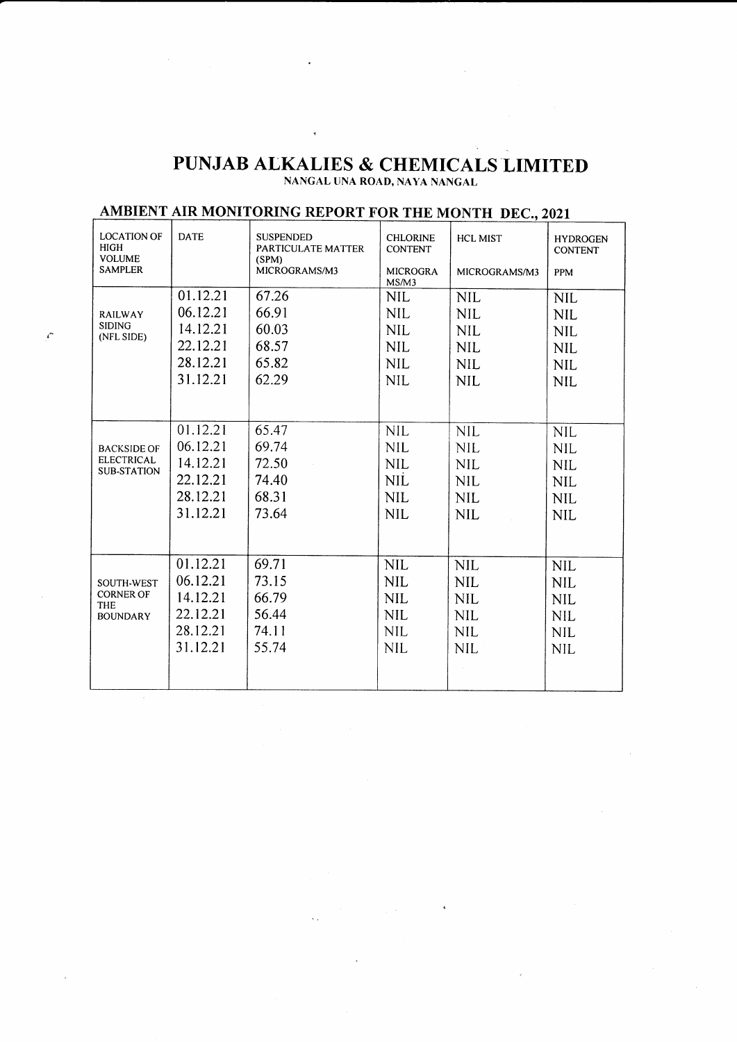## PUNJAB ALKALIES & CHEMICALS LIMITED

 $\tilde{\mathcal{A}}$ 

 $\mathbf{r}^*$ 

| AMBIENT AIR MONITORING REPORT FOR THE MONTH DEC., 2021               |             |                                                                  |                                                      |                                  |                                                 |  |
|----------------------------------------------------------------------|-------------|------------------------------------------------------------------|------------------------------------------------------|----------------------------------|-------------------------------------------------|--|
| <b>LOCATION OF</b><br><b>HIGH</b><br><b>VOLUME</b><br><b>SAMPLER</b> | <b>DATE</b> | <b>SUSPENDED</b><br>PARTICULATE MATTER<br>(SPM)<br>MICROGRAMS/M3 | <b>CHLORINE</b><br><b>CONTENT</b><br><b>MICROGRA</b> | <b>HCL MIST</b><br>MICROGRAMS/M3 | <b>HYDROGEN</b><br><b>CONTENT</b><br><b>PPM</b> |  |
|                                                                      |             |                                                                  | MS/M3                                                |                                  |                                                 |  |
| <b>RAILWAY</b><br><b>SIDING</b><br>(NFL SIDE)                        | 01.12.21    | 67.26                                                            | <b>NIL</b>                                           | <b>NIL</b>                       | <b>NIL</b>                                      |  |
|                                                                      | 06.12.21    | 66.91                                                            | <b>NIL</b>                                           | <b>NIL</b>                       | <b>NIL</b>                                      |  |
|                                                                      | 14.12.21    | 60.03                                                            | <b>NIL</b>                                           | <b>NIL</b>                       | <b>NIL</b>                                      |  |
|                                                                      | 22.12.21    | 68.57                                                            | <b>NIL</b>                                           | <b>NIL</b>                       | <b>NIL</b>                                      |  |
|                                                                      | 28.12.21    | 65.82                                                            | <b>NIL</b>                                           | <b>NIL</b>                       | <b>NIL</b>                                      |  |
|                                                                      | 31.12.21    | 62.29                                                            | <b>NIL</b>                                           | <b>NIL</b>                       | <b>NIL</b>                                      |  |
|                                                                      |             |                                                                  |                                                      |                                  |                                                 |  |
|                                                                      | 01.12.21    | 65.47                                                            | <b>NIL</b>                                           | <b>NIL</b>                       | <b>NIL</b>                                      |  |
| <b>BACKSIDE OF</b>                                                   | 06.12.21    | 69.74                                                            | <b>NIL</b>                                           | <b>NIL</b>                       | <b>NIL</b>                                      |  |
| <b>ELECTRICAL</b><br><b>SUB-STATION</b>                              | 14.12.21    | 72.50                                                            | <b>NIL</b>                                           | <b>NIL</b>                       | <b>NIL</b>                                      |  |
|                                                                      | 22.12.21    | 74.40                                                            | <b>NIL</b>                                           | <b>NIL</b>                       | <b>NIL</b>                                      |  |
|                                                                      | 28.12.21    | 68.31                                                            | <b>NIL</b>                                           | <b>NIL</b>                       | <b>NIL</b>                                      |  |
|                                                                      | 31.12.21    | 73.64                                                            | <b>NIL</b>                                           | <b>NIL</b>                       | <b>NIL</b>                                      |  |
|                                                                      |             |                                                                  |                                                      |                                  |                                                 |  |
|                                                                      | 01.12.21    | 69.71                                                            | <b>NIL</b>                                           | <b>NIL</b>                       | <b>NIL</b>                                      |  |
| SOUTH-WEST                                                           | 06.12.21    | 73.15                                                            | <b>NIL</b>                                           | <b>NIL</b>                       | <b>NIL</b>                                      |  |
| <b>CORNER OF</b><br><b>THE</b>                                       | 14.12.21    | 66.79                                                            | <b>NIL</b>                                           | <b>NIL</b>                       | <b>NIL</b>                                      |  |
| <b>BOUNDARY</b>                                                      | 22.12.21    | 56.44                                                            | <b>NIL</b>                                           | <b>NIL</b>                       | <b>NIL</b>                                      |  |
|                                                                      | 28.12.21    | 74.11                                                            | <b>NIL</b>                                           | <b>NIL</b>                       | <b>NIL</b>                                      |  |
|                                                                      | 31.12.21    | 55.74                                                            | <b>NIL</b>                                           | <b>NIL</b>                       | <b>NIL</b>                                      |  |
|                                                                      |             |                                                                  |                                                      |                                  |                                                 |  |

 $\label{eq:2} \mathcal{L}_{\text{max}} = \frac{1}{2} \sum_{i=1}^{N} \mathcal{L}_{\text{max}} \left( \mathcal{L}_{\text{max}} \right)^2 \mathcal{L}_{\text{max}} \left( \mathbf{A} \right)$ 

 $\sim$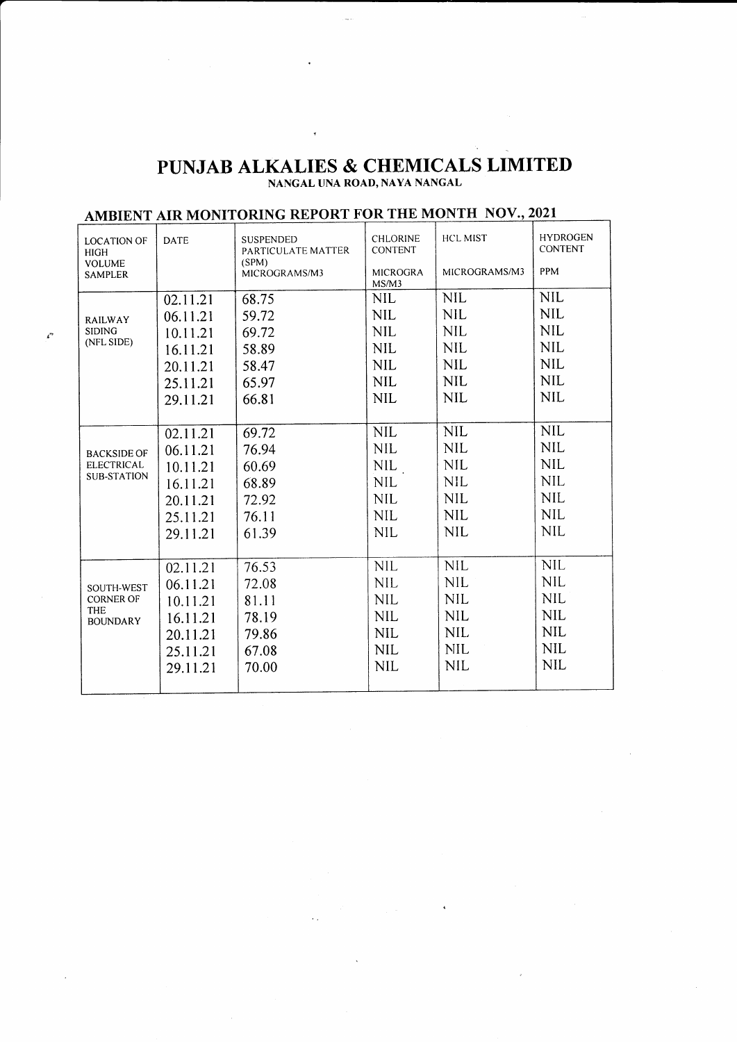## PUNJAB ALKALIES & CHEMICALS LIMITED

 $\overline{\phantom{a}}$ 

 $\mathcal{E}^{\prime}$ 

| AMBIENT AIR MONITORING REPORT FOR THE MONTH NOV., 2021 |             |                                                 |                                   |                 |                                   |  |  |
|--------------------------------------------------------|-------------|-------------------------------------------------|-----------------------------------|-----------------|-----------------------------------|--|--|
| <b>LOCATION OF</b><br><b>HIGH</b>                      | <b>DATE</b> | <b>SUSPENDED</b><br>PARTICULATE MATTER<br>(SPM) | <b>CHLORINE</b><br><b>CONTENT</b> | <b>HCL MIST</b> | <b>HYDROGEN</b><br><b>CONTENT</b> |  |  |
| <b>VOLUME</b><br><b>SAMPLER</b>                        |             | MICROGRAMS/M3                                   | <b>MICROGRA</b><br>MS/M3          | MICROGRAMS/M3   | PPM                               |  |  |
|                                                        | 02.11.21    | 68.75                                           | <b>NIL</b>                        | <b>NIL</b>      | <b>NIL</b>                        |  |  |
| <b>RAILWAY</b><br><b>SIDING</b><br>(NFL SIDE)          | 06.11.21    | 59.72                                           | <b>NIL</b>                        | <b>NIL</b>      | <b>NIL</b>                        |  |  |
|                                                        | 10.11.21    | 69.72                                           | <b>NIL</b>                        | <b>NIL</b>      | <b>NIL</b>                        |  |  |
|                                                        | 16.11.21    | 58.89                                           | <b>NIL</b>                        | <b>NIL</b>      | <b>NIL</b>                        |  |  |
|                                                        | 20.11.21    | 58.47                                           | <b>NIL</b>                        | <b>NIL</b>      | <b>NIL</b>                        |  |  |
|                                                        | 25.11.21    | 65.97                                           | <b>NIL</b>                        | <b>NIL</b>      | <b>NIL</b>                        |  |  |
|                                                        | 29.11.21    | 66.81                                           | <b>NIL</b>                        | <b>NIL</b>      | <b>NIL</b>                        |  |  |
|                                                        |             |                                                 |                                   |                 |                                   |  |  |
|                                                        | 02.11.21    | 69.72                                           | <b>NIL</b>                        | <b>NIL</b>      | <b>NIL</b>                        |  |  |
| <b>BACKSIDE OF</b>                                     | 06.11.21    | 76.94                                           | <b>NIL</b>                        | <b>NIL</b>      | <b>NIL</b>                        |  |  |
| <b>ELECTRICAL</b>                                      | 10.11.21    | 60.69                                           | NIL.                              | <b>NIL</b>      | <b>NIL</b>                        |  |  |
| SUB-STATION                                            | 16.11.21    | 68.89                                           | <b>NIL</b>                        | <b>NIL</b>      | <b>NIL</b>                        |  |  |
|                                                        | 20.11.21    | 72.92                                           | <b>NIL</b>                        | <b>NIL</b>      | <b>NIL</b>                        |  |  |
|                                                        | 25.11.21    | 76.11                                           | <b>NIL</b>                        | <b>NIL</b>      | <b>NIL</b>                        |  |  |
|                                                        | 29.11.21    | 61.39                                           | <b>NIL</b>                        | <b>NIL</b>      | <b>NIL</b>                        |  |  |
|                                                        |             |                                                 |                                   |                 |                                   |  |  |
|                                                        | 02.11.21    | 76.53                                           | <b>NIL</b>                        | <b>NIL</b>      | <b>NIL</b>                        |  |  |
| SOUTH-WEST                                             | 06.11.21    | 72.08                                           | <b>NIL</b>                        | <b>NIL</b>      | <b>NIL</b>                        |  |  |
| <b>CORNER OF</b>                                       | 10.11.21    | 81.11                                           | <b>NIL</b>                        | <b>NIL</b>      | <b>NIL</b>                        |  |  |
| <b>THE</b><br><b>BOUNDARY</b>                          | 16.11.21    | 78.19                                           | <b>NIL</b>                        | <b>NIL</b>      | <b>NIL</b>                        |  |  |
|                                                        | 20.11.21    | 79.86                                           | <b>NIL</b>                        | <b>NIL</b>      | <b>NIL</b>                        |  |  |
|                                                        | 25.11.21    | 67.08                                           | <b>NIL</b>                        | <b>NIL</b>      | <b>NIL</b>                        |  |  |
|                                                        | 29.11.21    | 70.00                                           | <b>NIL</b>                        | <b>NIL</b>      | <b>NIL</b>                        |  |  |
|                                                        |             |                                                 |                                   |                 |                                   |  |  |